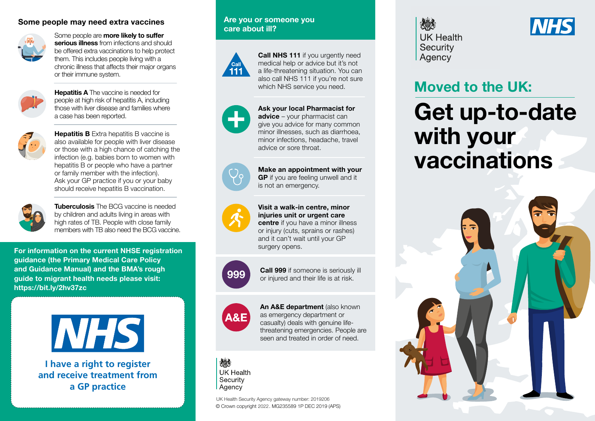#### **Some people may need extra vaccines**



Some people are **more likely to sufer serious illness** from infections and should be offered extra vaccinations to help protect them. This includes people living with a chronic illness that afects their major organs or their immune system.



**Hepatitis A** The vaccine is needed for people at high risk of hepatitis A, including those with liver disease and families where a case has been reported.



**Hepatitis B** Extra hepatitis B vaccine is also available for people with liver disease or those with a high chance of catching the infection (e.g. babies born to women with hepatitis B or people who have a partner or family member with the infection). Ask your GP practice if you or your baby should receive hepatitis B vaccination.



**Tuberculosis** The BCG vaccine is needed by children and adults living in areas with high rates of TB. People with close family members with TB also need the BCG vaccine.

**For information on the current NHSE registration guidance (the Primary Medical Care Policy and Guidance Manual) and the BMA's rough guide to migrant health needs please visit: <https://bit.ly/2hv37zc>**



**I have a right to register and receive treatment from a GP practice**

#### **Are you or someone you care about ill?**



**Call NHS 111** if you urgently need medical help or advice but it's not a life-threatening situation. You can also call NHS 111 if you're not sure which NHS service you need.



**Ask your local Pharmacist for advice** – your pharmacist can give you advice for many common minor illnesses, such as diarrhoea, minor infections, headache, travel advice or sore throat.



**Make an appointment with your GP** if you are feeling unwell and it is not an emergency.



**Visit a walk-in centre, minor injuries unit or urgent care centre** if you have a minor illness

or injury (cuts, sprains or rashes) and it can't wait until your GP surgery opens.



**999 Call 999** if someone is seriously ill or injured and their life is at risk.



**An A&E department** (also known as emergency department or casualty) deals with genuine lifethreatening emergencies. People are seen and treated in order of need.



© Crown copyright 2022. MG235589 1P DEC 2019 (APS) UK Health Security Agency gateway number: 2019206

炒 **UK Health** Security Agency



# **Moved to the UK:**

# **Get up-to-date with your vaccinations**